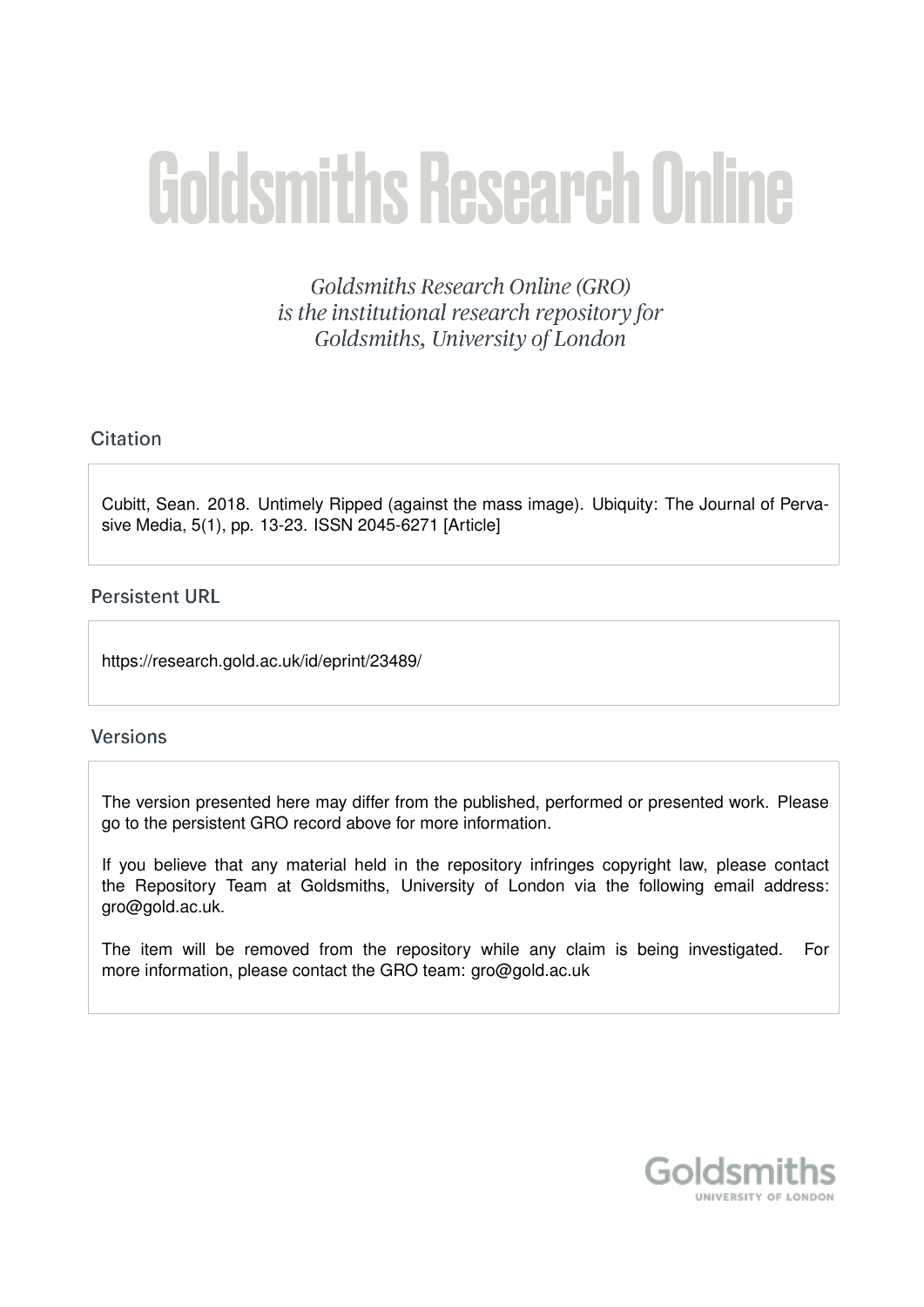# **Goldsmiths Research Online**

Goldsmiths Research Online (GRO) is the institutional research repository for Goldsmiths, University of London

### Citation

Cubitt, Sean. 2018. Untimely Ripped (against the mass image). Ubiquity: The Journal of Pervasive Media, 5(1), pp. 13-23. ISSN 2045-6271 [Article]

#### **Persistent URL**

https://research.gold.ac.uk/id/eprint/23489/

#### **Versions**

The version presented here may differ from the published, performed or presented work. Please go to the persistent GRO record above for more information.

If you believe that any material held in the repository infringes copyright law, please contact the Repository Team at Goldsmiths, University of London via the following email address: gro@gold.ac.uk.

The item will be removed from the repository while any claim is being investigated. For more information, please contact the GRO team: gro@gold.ac.uk

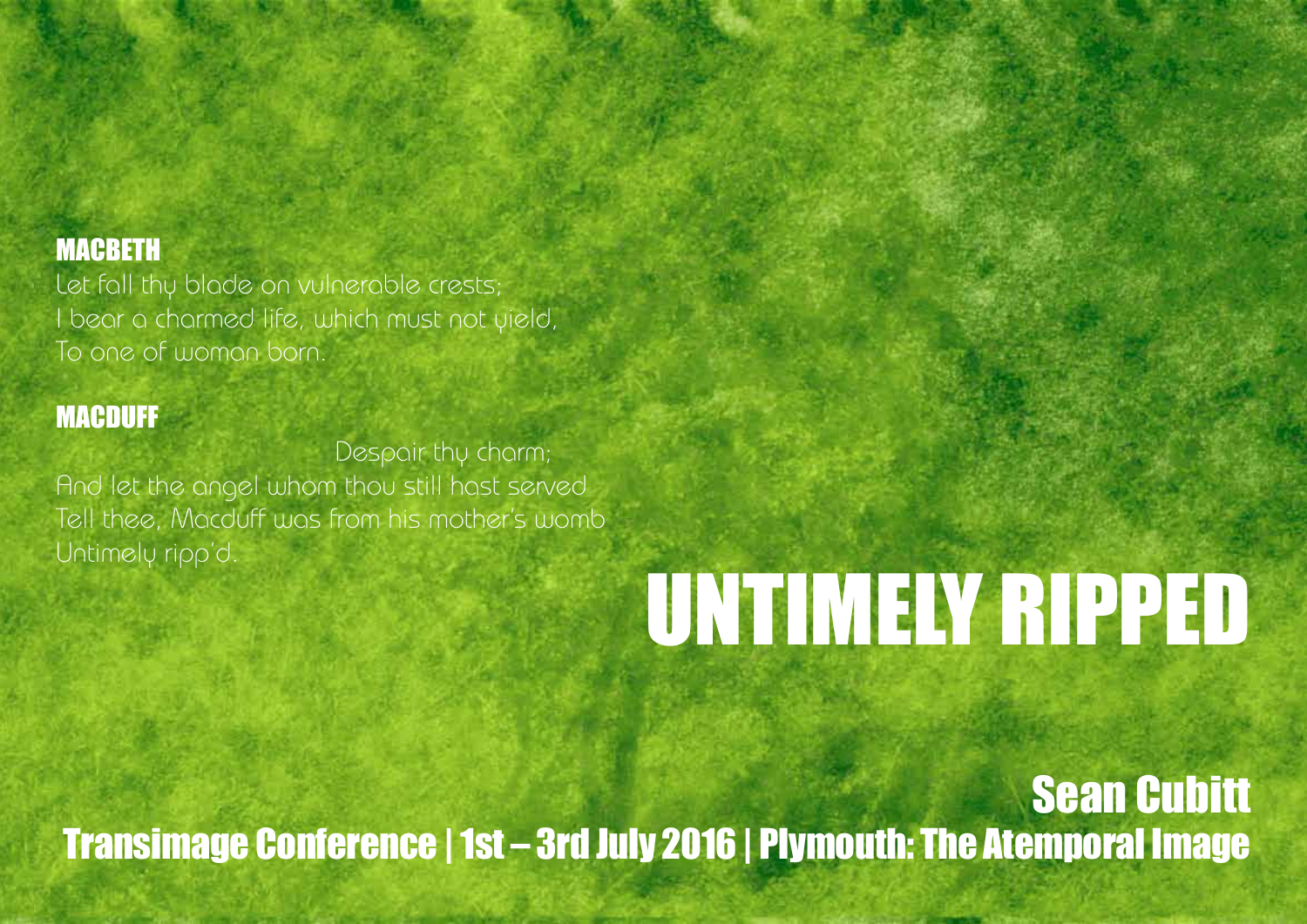### MACBETH

Let fall thy blade on vulnerable crests; I bear a charmed life, which must not yield, To one of woman born.

## **MACDUFF**

 Despair thy charm; And let the angel whom thou still hast served Tell thee, Macduff was from his mother's womb Untimely ripp'd.

# UNTIMELY RIPPED

# Sean Cubitt Transimage Conference | 1st – 3rd July 2016 | Plymouth: The Atemporal Image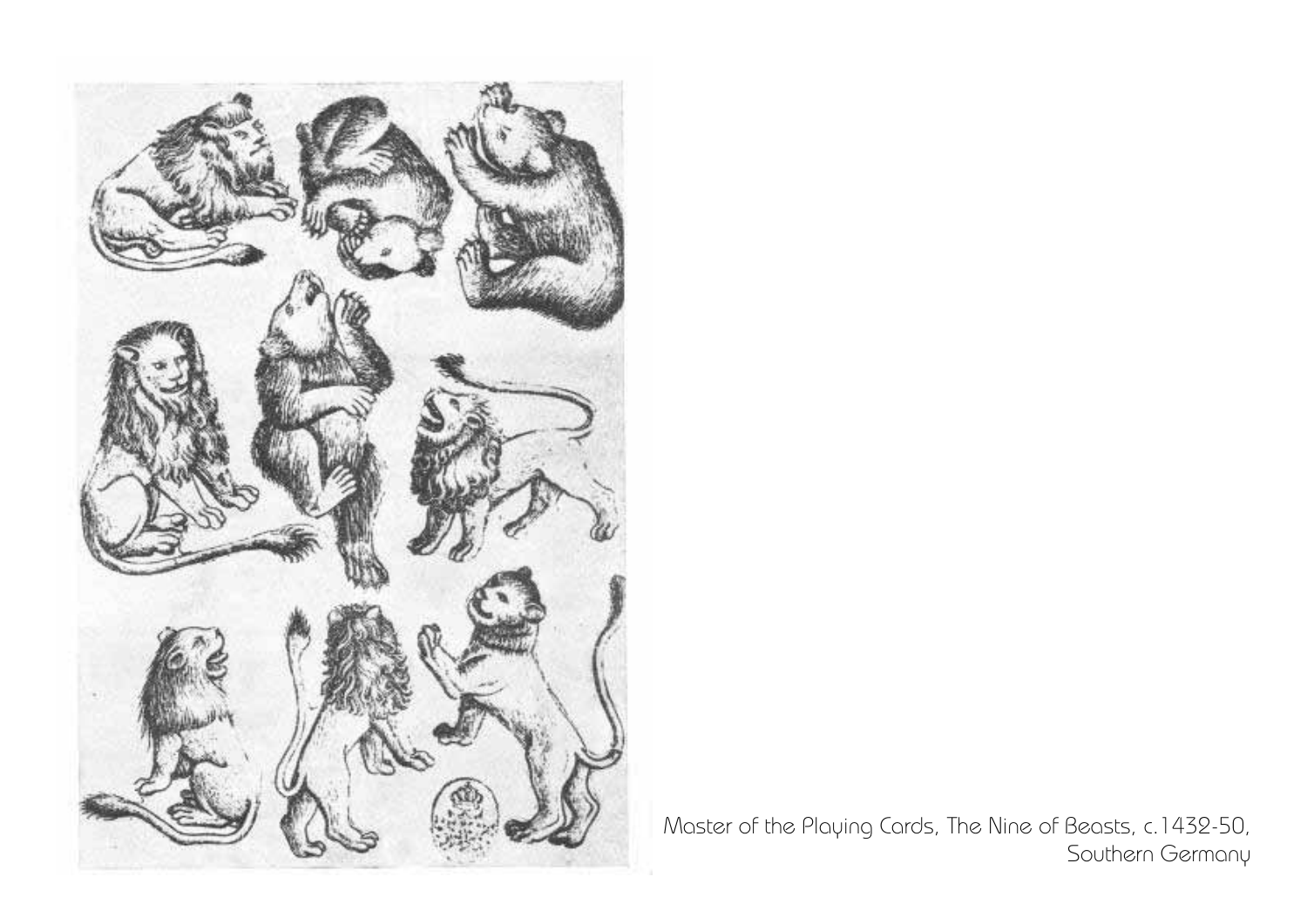

Master of the Playing Cards, The Nine of Beasts, c.1432-50, Southern Germany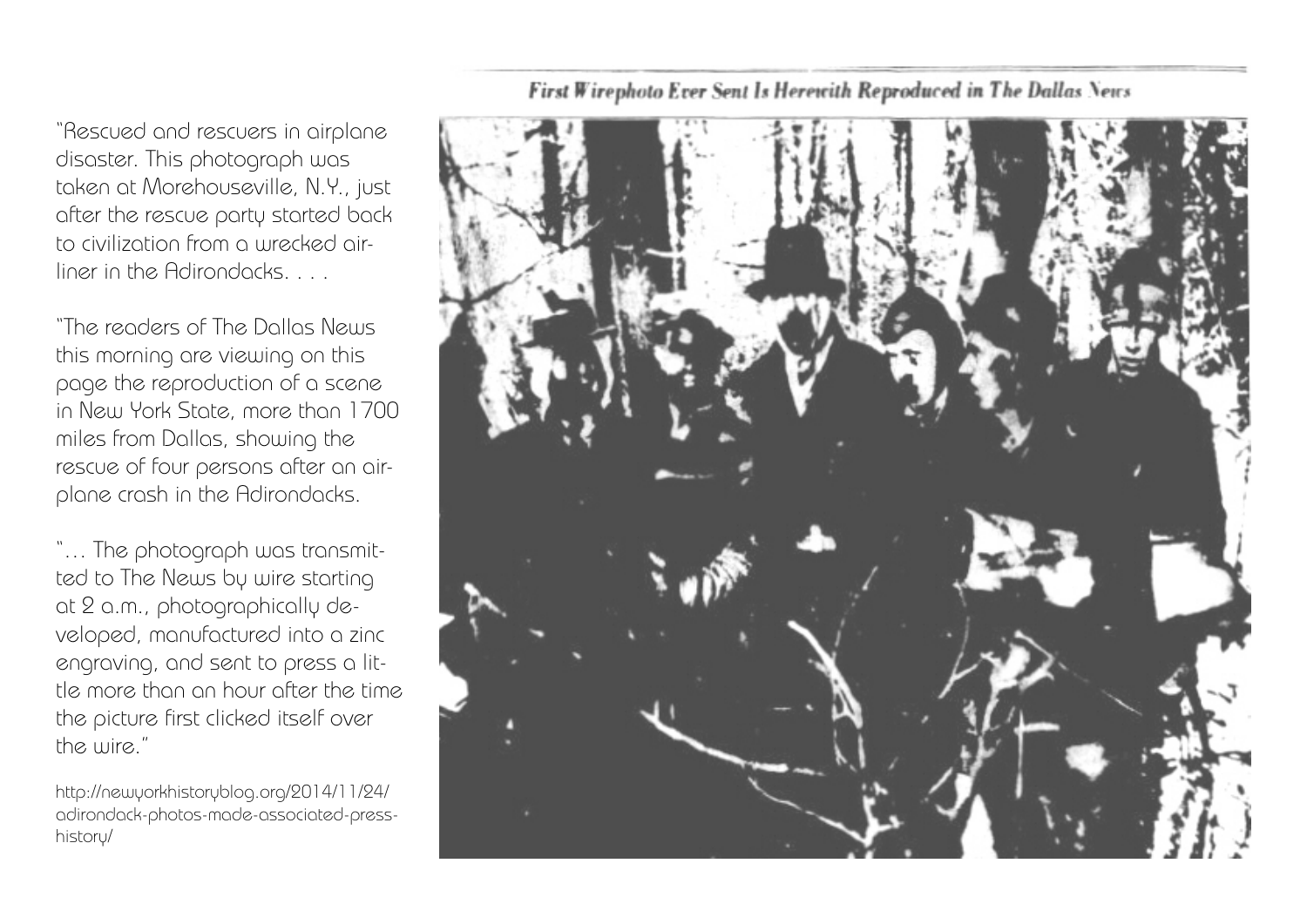First Wirephoto Ever Sent Is Herewith Reproduced in The Dallas News

"Rescued and rescuers in airplane disaster. This photograph was taken at Morehouseville, N.Y., just after the rescue party started back to civilization from a wrecked airliner in the Adirondacks. . . .

"The readers of The Dallas News this morning are viewing on this page the reproduction of a scene in New York State, more than 1700 miles from Dallas, showing the rescue of four persons after an airplane crash in the Adirondacks.

"… The photograph was transmitted to The News by wire starting at 2 a.m., photographically developed, manufactured into a zinc engraving, and sent to press a little more than an hour after the time the picture first clicked itself over the wire."

http://newyorkhistoryblog.org/2014/11/24/ adirondack-photos-made-associated-presshistory/

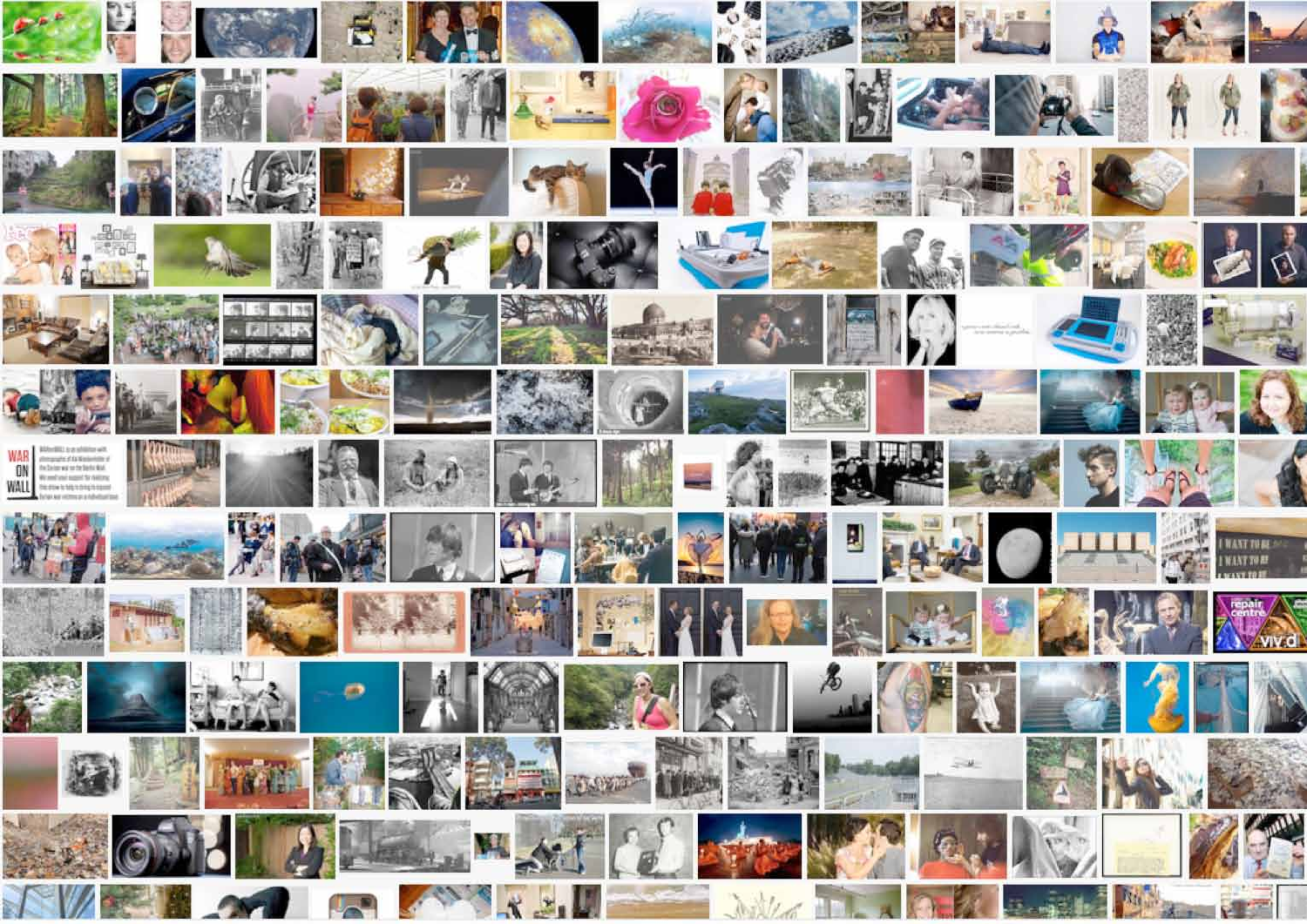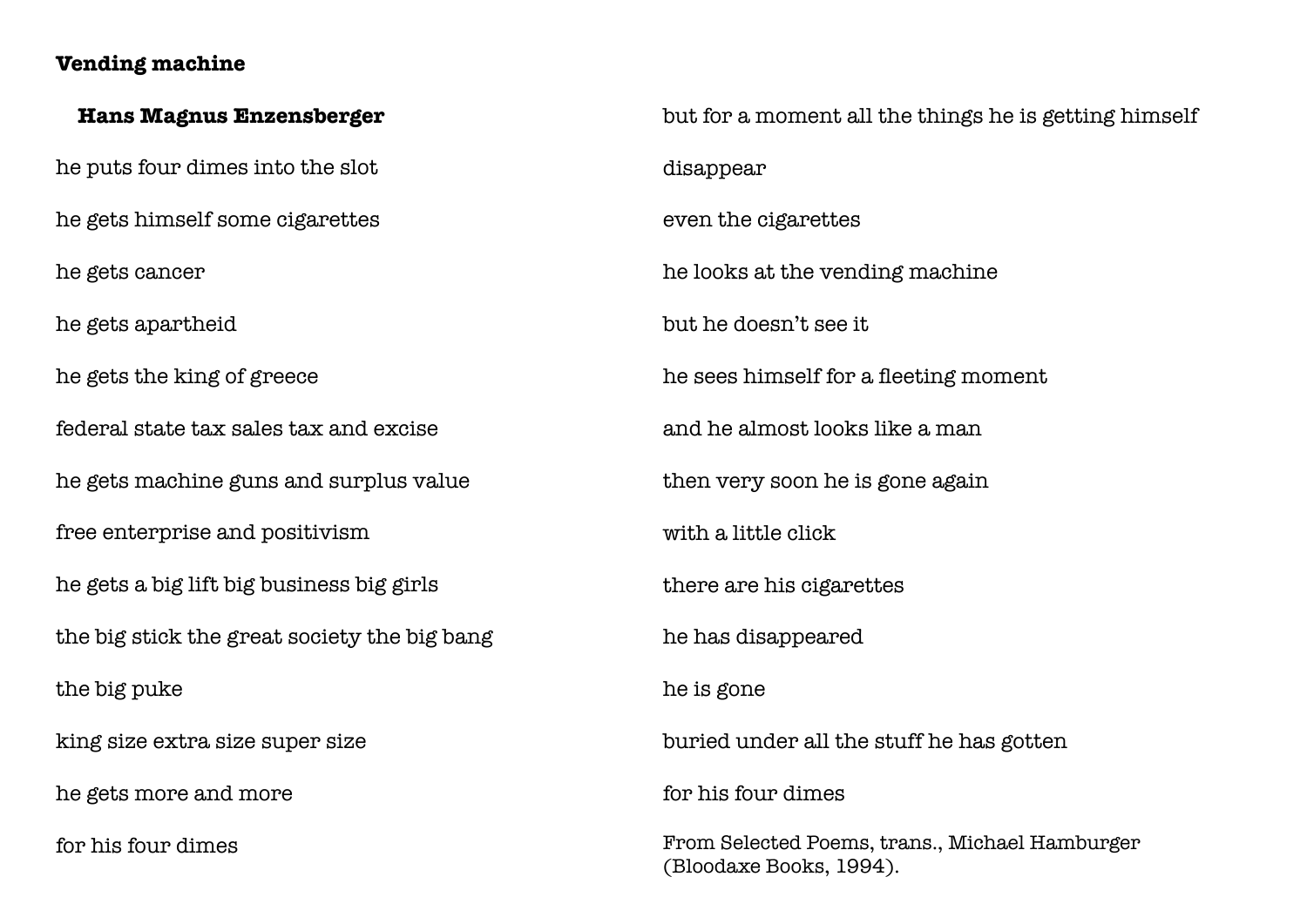### **Vending machine**

 **Hans Magnus Enzensberger** he puts four dimes into the slot he gets himself some cigarettes he gets cancer he gets apartheid he gets the king of greece federal state tax sales tax and excise he gets machine guns and surplus value free enterprise and positivism he gets a big lift big business big girls the big stick the great society the big bang the big puke king size extra size super size he gets more and more for his four dimes

but for a moment all the things he is getting himself disappear even the cigarettes he looks at the vending machine but he doesn't see it he sees himself for a fleeting moment and he almost looks like a man then very soon he is gone again with a little click there are his cigarettes he has disappeared he is gone buried under all the stuff he has gotten for his four dimes From Selected Poems, trans., Michael Hamburger (Bloodaxe Books, 1994).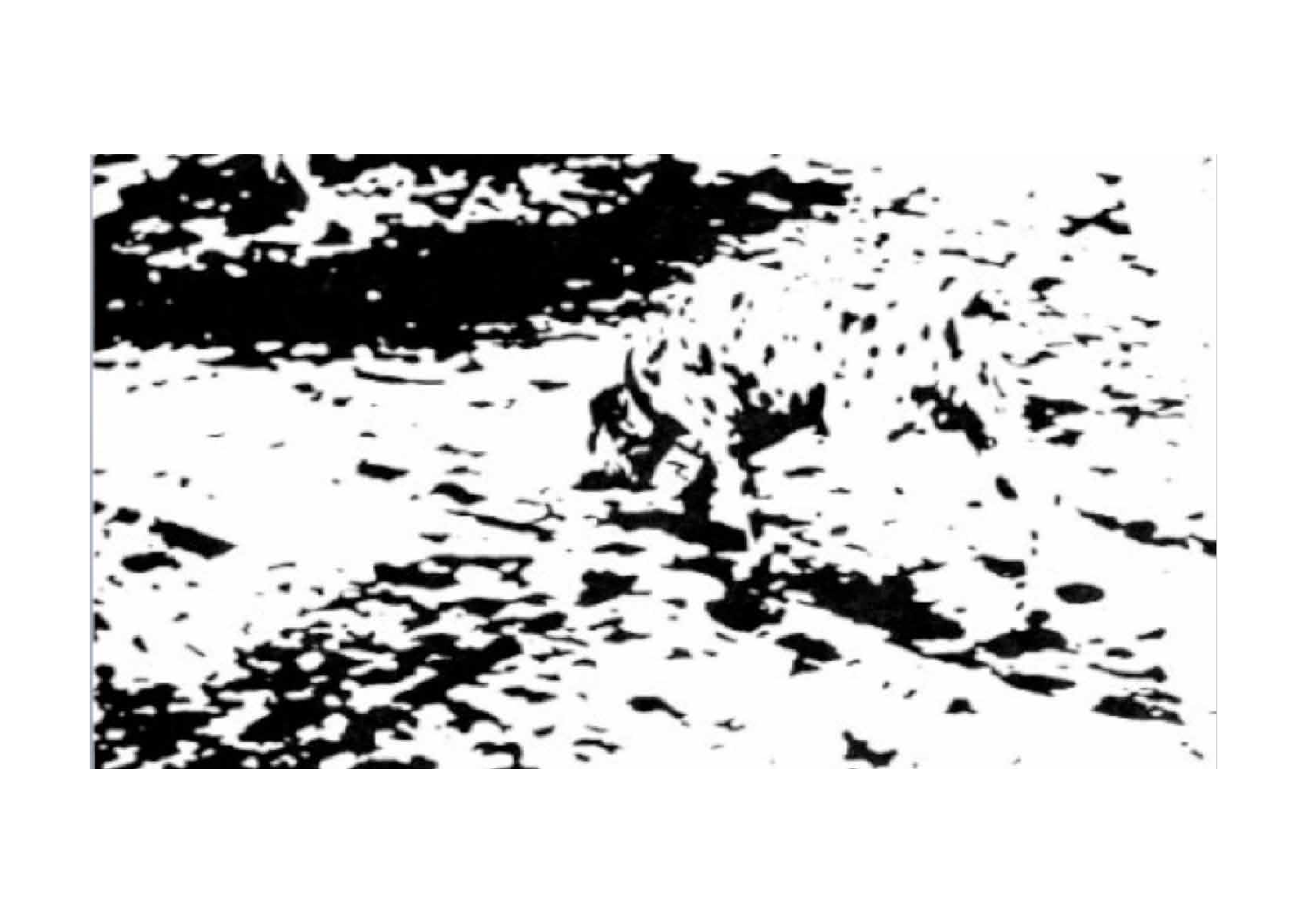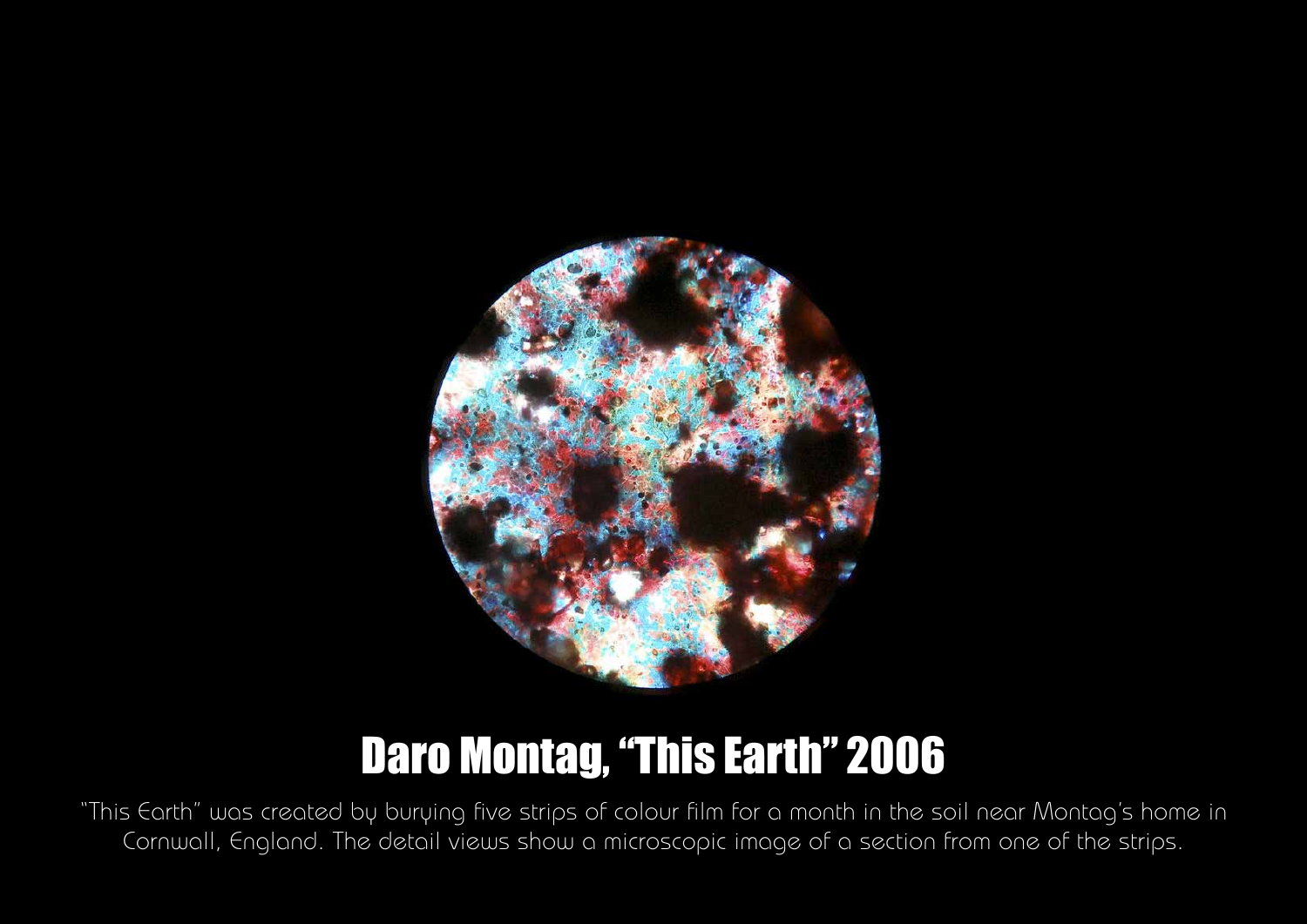

# Daro Montag, "This Earth" 2006

"This Earth" was created by burying five strips of colour film for a month in the soil near Montag's home in Cornwall, England. The detail views show a microscopic image of a section from one of the strips.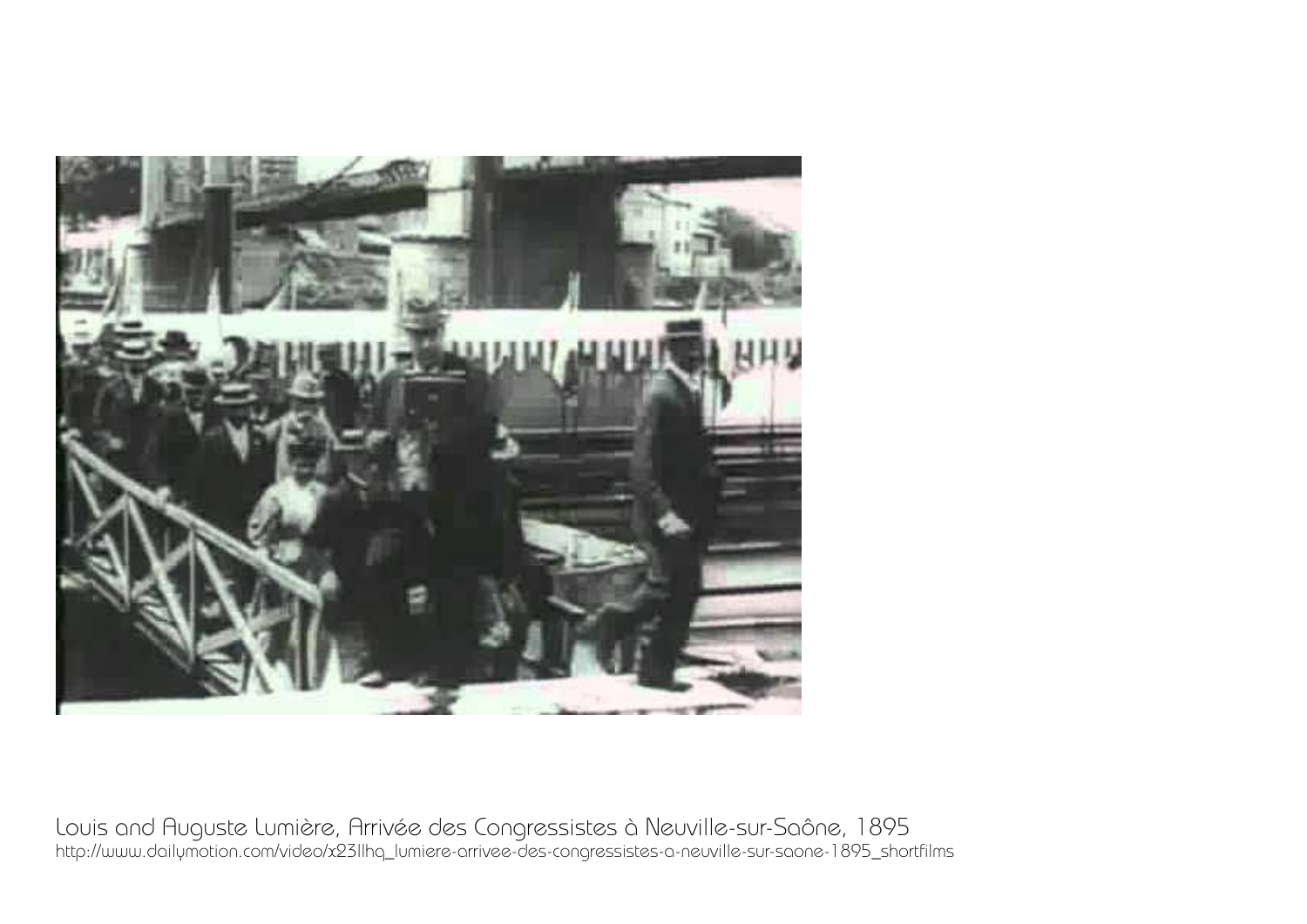

Louis and Auguste Lumière, Arrivée des Congressistes à Neuville-sur-Saône, 1895 http://www.dailymotion.com/video/x23llhq\_lumiere-arrivee-des-congressistes-a-neuville-sur-saone-1895\_shortfilms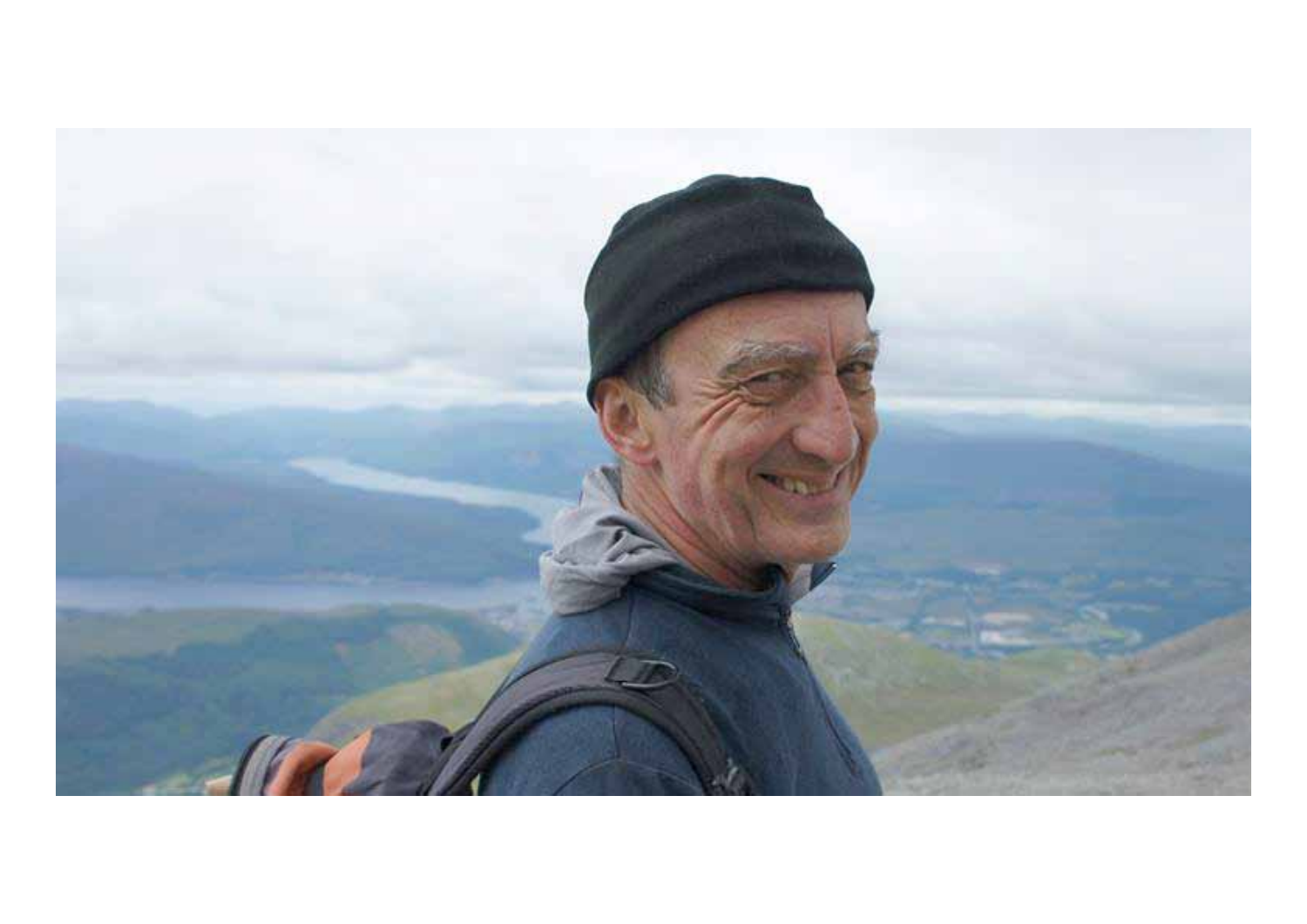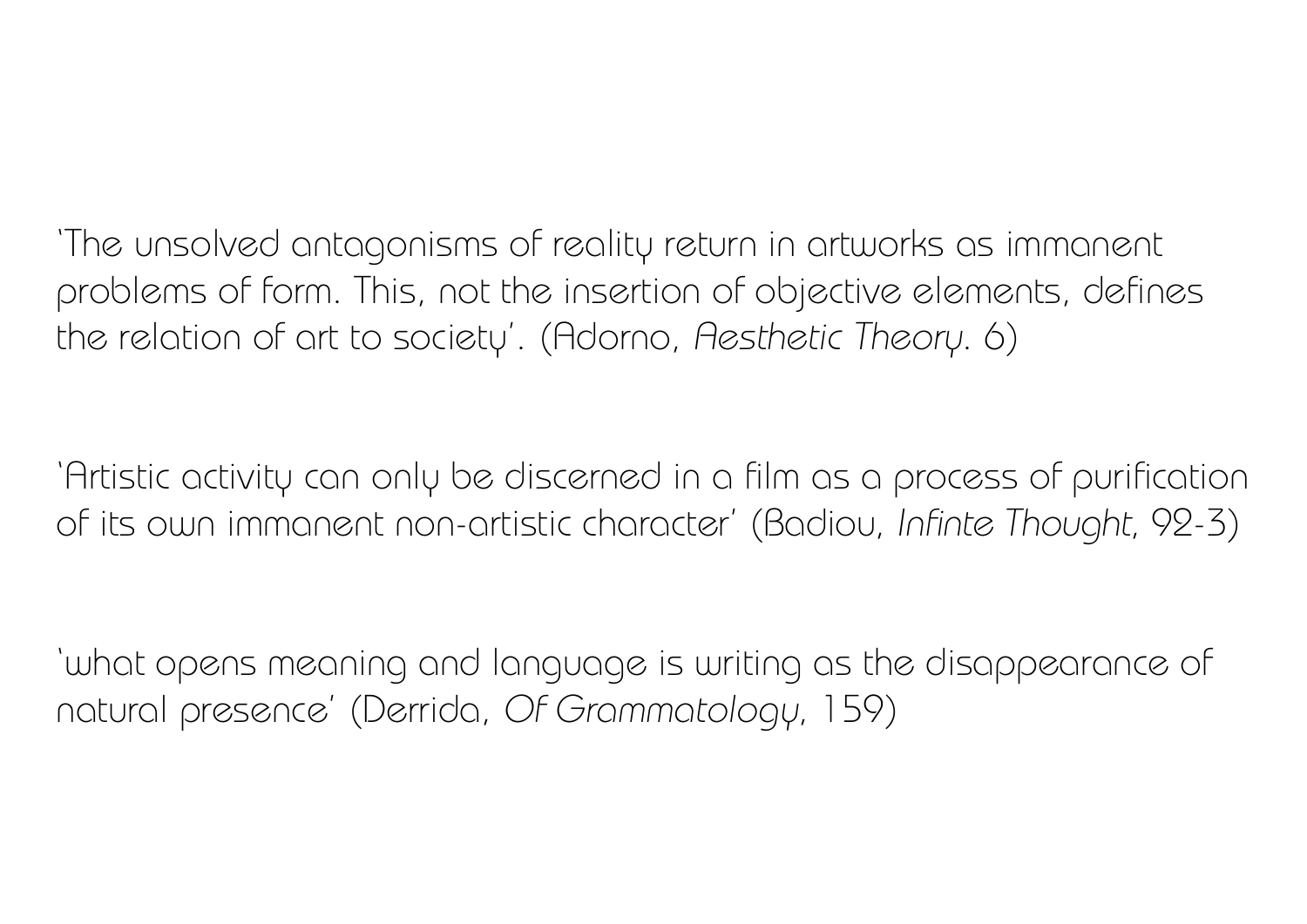'The unsolved antagonisms of reality return in artworks as immanent problems of form. This, not the insertion of objective elements, defines the relation of art to society'. (Adorno, Aesthetic Theory. 6)

'Artistic activity can only be discerned in a film as a process of purification of its own immanent non-artistic character' (Badiou, Infinte Thought, 92-3)

'what opens meaning and language is writing as the disappearance of natural presence' (Derrida, Of Grammatology, 159)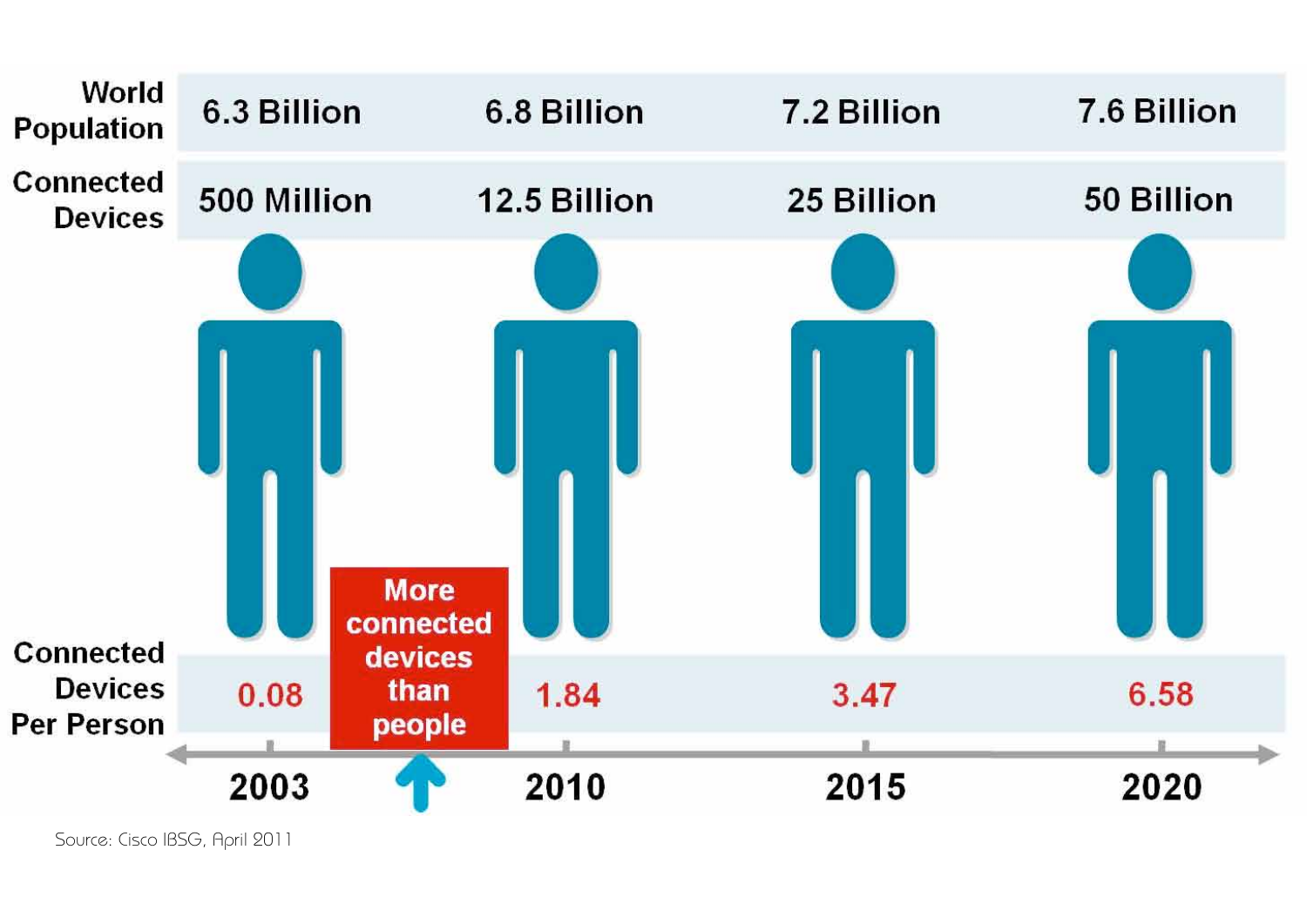

Source: Cisco IBSG, April 2011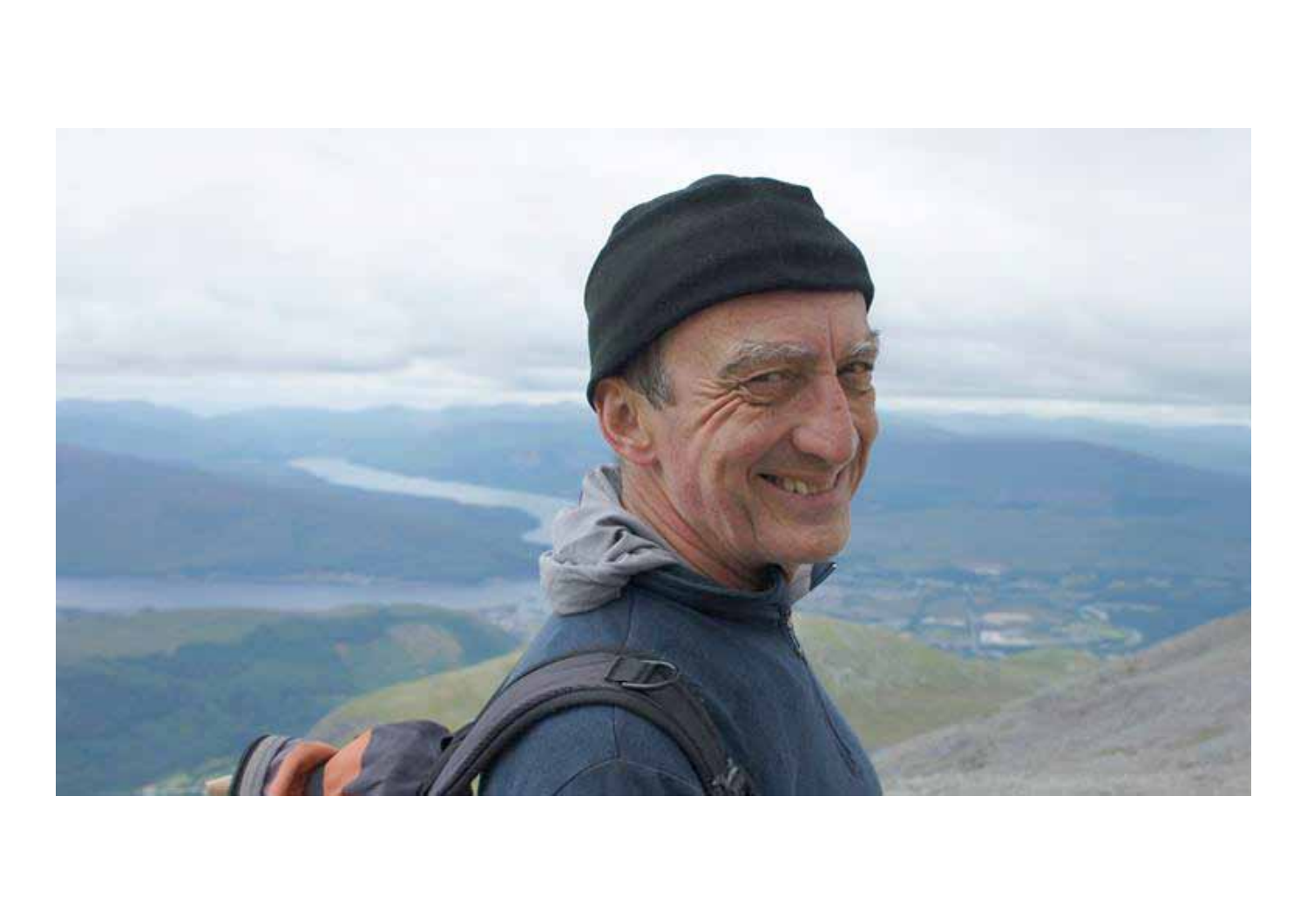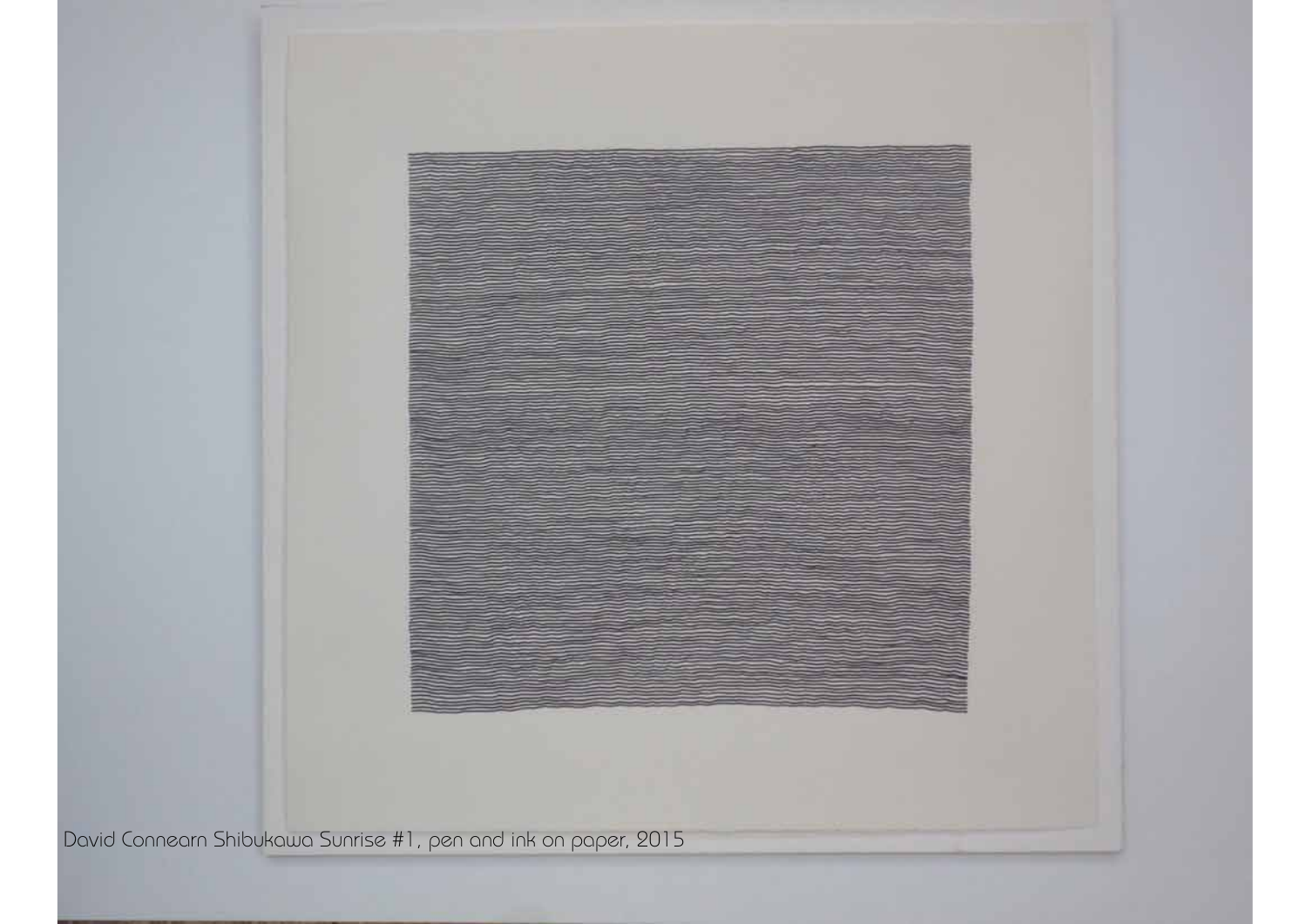